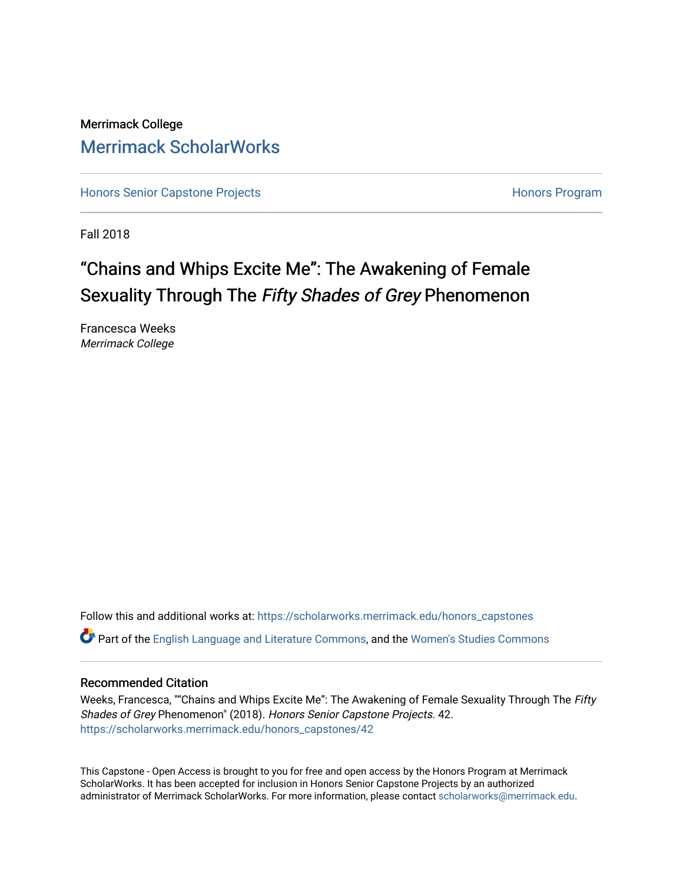## Merrimack College [Merrimack ScholarWorks](https://scholarworks.merrimack.edu/)

[Honors Senior Capstone Projects](https://scholarworks.merrimack.edu/honors_capstones) **Honors Program** Honors Program

Fall 2018

# "Chains and Whips Excite Me": The Awakening of Female Sexuality Through The Fifty Shades of Grey Phenomenon

Francesca Weeks Merrimack College

Follow this and additional works at: [https://scholarworks.merrimack.edu/honors\\_capstones](https://scholarworks.merrimack.edu/honors_capstones?utm_source=scholarworks.merrimack.edu%2Fhonors_capstones%2F42&utm_medium=PDF&utm_campaign=PDFCoverPages) Part of the [English Language and Literature Commons](http://network.bepress.com/hgg/discipline/455?utm_source=scholarworks.merrimack.edu%2Fhonors_capstones%2F42&utm_medium=PDF&utm_campaign=PDFCoverPages), and the [Women's Studies Commons](http://network.bepress.com/hgg/discipline/561?utm_source=scholarworks.merrimack.edu%2Fhonors_capstones%2F42&utm_medium=PDF&utm_campaign=PDFCoverPages) 

## Recommended Citation

Weeks, Francesca, ""Chains and Whips Excite Me": The Awakening of Female Sexuality Through The Fifty Shades of Grey Phenomenon" (2018). Honors Senior Capstone Projects. 42. [https://scholarworks.merrimack.edu/honors\\_capstones/42](https://scholarworks.merrimack.edu/honors_capstones/42?utm_source=scholarworks.merrimack.edu%2Fhonors_capstones%2F42&utm_medium=PDF&utm_campaign=PDFCoverPages) 

This Capstone - Open Access is brought to you for free and open access by the Honors Program at Merrimack ScholarWorks. It has been accepted for inclusion in Honors Senior Capstone Projects by an authorized administrator of Merrimack ScholarWorks. For more information, please contact [scholarworks@merrimack.edu](mailto:scholarworks@merrimack.edu).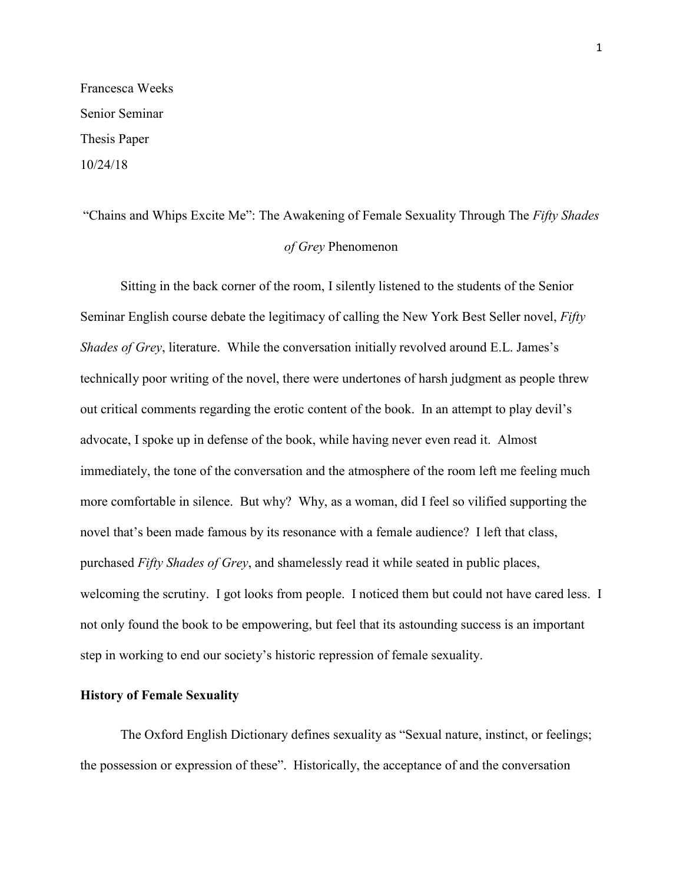Francesca Weeks Senior Seminar Thesis Paper 10/24/18

## "Chains and Whips Excite Me": The Awakening of Female Sexuality Through The *Fifty Shades of Grey* Phenomenon

Sitting in the back corner of the room, I silently listened to the students of the Senior Seminar English course debate the legitimacy of calling the New York Best Seller novel, *Fifty Shades of Grey*, literature. While the conversation initially revolved around E.L. James's technically poor writing of the novel, there were undertones of harsh judgment as people threw out critical comments regarding the erotic content of the book. In an attempt to play devil's advocate, I spoke up in defense of the book, while having never even read it. Almost immediately, the tone of the conversation and the atmosphere of the room left me feeling much more comfortable in silence. But why? Why, as a woman, did I feel so vilified supporting the novel that's been made famous by its resonance with a female audience? I left that class, purchased *Fifty Shades of Grey*, and shamelessly read it while seated in public places, welcoming the scrutiny. I got looks from people. I noticed them but could not have cared less. I not only found the book to be empowering, but feel that its astounding success is an important step in working to end our society's historic repression of female sexuality.

### **History of Female Sexuality**

The Oxford English Dictionary defines sexuality as "Sexual nature, instinct, or feelings; the possession or expression of these". Historically, the acceptance of and the conversation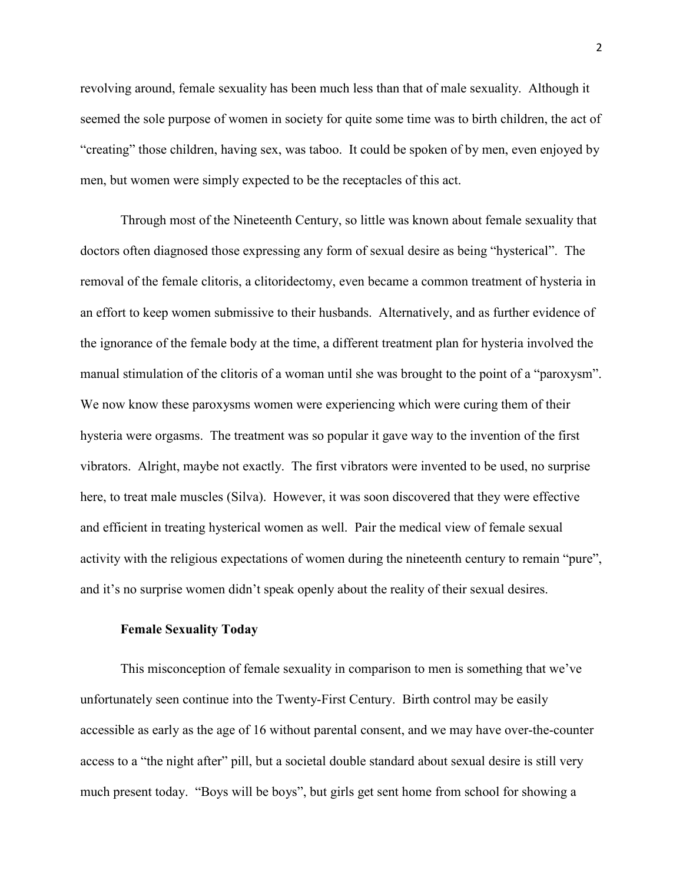revolving around, female sexuality has been much less than that of male sexuality. Although it seemed the sole purpose of women in society for quite some time was to birth children, the act of "creating" those children, having sex, was taboo. It could be spoken of by men, even enjoyed by men, but women were simply expected to be the receptacles of this act.

Through most of the Nineteenth Century, so little was known about female sexuality that doctors often diagnosed those expressing any form of sexual desire as being "hysterical". The removal of the female clitoris, a clitoridectomy, even became a common treatment of hysteria in an effort to keep women submissive to their husbands. Alternatively, and as further evidence of the ignorance of the female body at the time, a different treatment plan for hysteria involved the manual stimulation of the clitoris of a woman until she was brought to the point of a "paroxysm". We now know these paroxysms women were experiencing which were curing them of their hysteria were orgasms. The treatment was so popular it gave way to the invention of the first vibrators. Alright, maybe not exactly. The first vibrators were invented to be used, no surprise here, to treat male muscles (Silva). However, it was soon discovered that they were effective and efficient in treating hysterical women as well. Pair the medical view of female sexual activity with the religious expectations of women during the nineteenth century to remain "pure", and it's no surprise women didn't speak openly about the reality of their sexual desires.

#### **Female Sexuality Today**

This misconception of female sexuality in comparison to men is something that we've unfortunately seen continue into the Twenty-First Century. Birth control may be easily accessible as early as the age of 16 without parental consent, and we may have over-the-counter access to a "the night after" pill, but a societal double standard about sexual desire is still very much present today. "Boys will be boys", but girls get sent home from school for showing a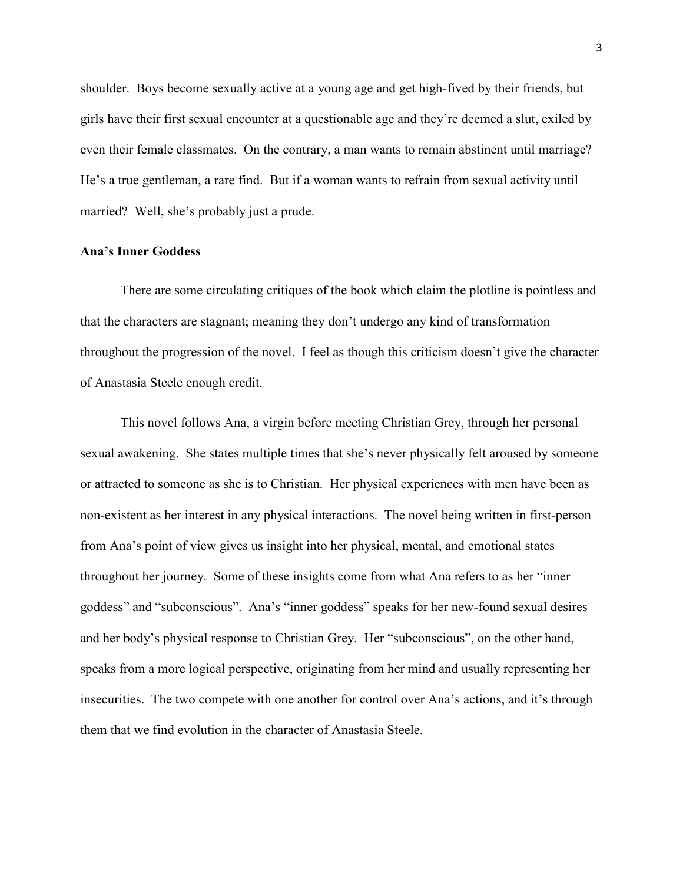shoulder. Boys become sexually active at a young age and get high-fived by their friends, but girls have their first sexual encounter at a questionable age and they're deemed a slut, exiled by even their female classmates. On the contrary, a man wants to remain abstinent until marriage? He's a true gentleman, a rare find. But if a woman wants to refrain from sexual activity until married? Well, she's probably just a prude.

## **Ana's Inner Goddess**

There are some circulating critiques of the book which claim the plotline is pointless and that the characters are stagnant; meaning they don't undergo any kind of transformation throughout the progression of the novel. I feel as though this criticism doesn't give the character of Anastasia Steele enough credit.

This novel follows Ana, a virgin before meeting Christian Grey, through her personal sexual awakening. She states multiple times that she's never physically felt aroused by someone or attracted to someone as she is to Christian. Her physical experiences with men have been as non-existent as her interest in any physical interactions. The novel being written in first-person from Ana's point of view gives us insight into her physical, mental, and emotional states throughout her journey. Some of these insights come from what Ana refers to as her "inner goddess" and "subconscious". Ana's "inner goddess" speaks for her new-found sexual desires and her body's physical response to Christian Grey. Her "subconscious", on the other hand, speaks from a more logical perspective, originating from her mind and usually representing her insecurities. The two compete with one another for control over Ana's actions, and it's through them that we find evolution in the character of Anastasia Steele.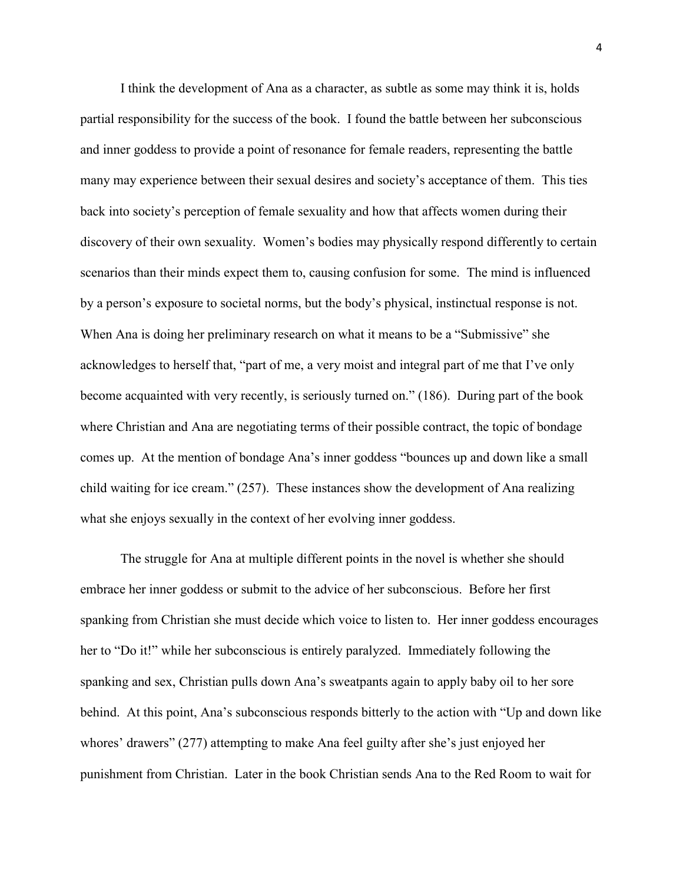I think the development of Ana as a character, as subtle as some may think it is, holds partial responsibility for the success of the book. I found the battle between her subconscious and inner goddess to provide a point of resonance for female readers, representing the battle many may experience between their sexual desires and society's acceptance of them. This ties back into society's perception of female sexuality and how that affects women during their discovery of their own sexuality. Women's bodies may physically respond differently to certain scenarios than their minds expect them to, causing confusion for some. The mind is influenced by a person's exposure to societal norms, but the body's physical, instinctual response is not. When Ana is doing her preliminary research on what it means to be a "Submissive" she acknowledges to herself that, "part of me, a very moist and integral part of me that I've only become acquainted with very recently, is seriously turned on." (186). During part of the book where Christian and Ana are negotiating terms of their possible contract, the topic of bondage comes up. At the mention of bondage Ana's inner goddess "bounces up and down like a small child waiting for ice cream." (257). These instances show the development of Ana realizing what she enjoys sexually in the context of her evolving inner goddess.

The struggle for Ana at multiple different points in the novel is whether she should embrace her inner goddess or submit to the advice of her subconscious. Before her first spanking from Christian she must decide which voice to listen to. Her inner goddess encourages her to "Do it!" while her subconscious is entirely paralyzed. Immediately following the spanking and sex, Christian pulls down Ana's sweatpants again to apply baby oil to her sore behind. At this point, Ana's subconscious responds bitterly to the action with "Up and down like whores' drawers" (277) attempting to make Ana feel guilty after she's just enjoyed her punishment from Christian. Later in the book Christian sends Ana to the Red Room to wait for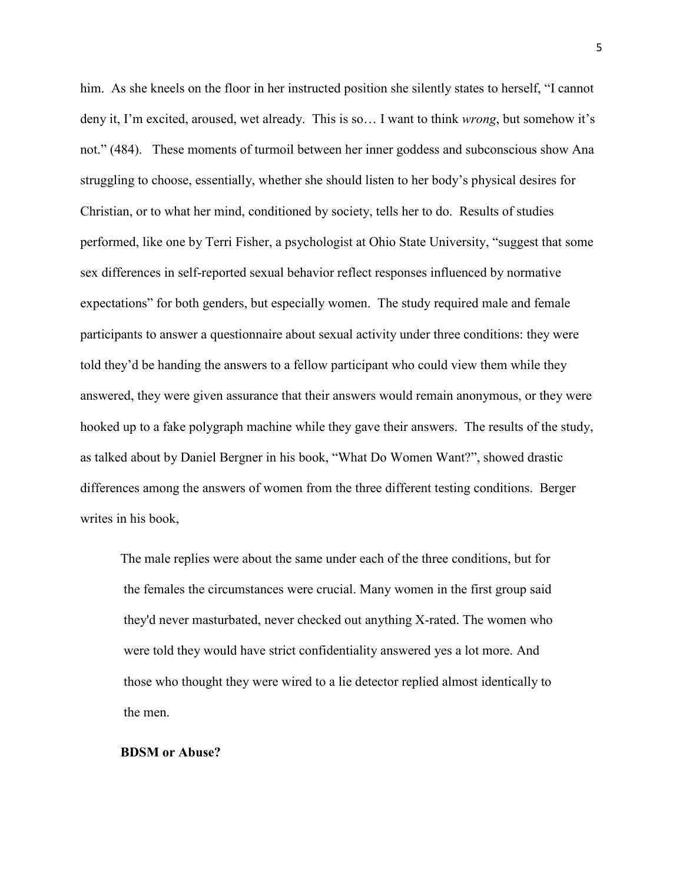him. As she kneels on the floor in her instructed position she silently states to herself, "I cannot deny it, I'm excited, aroused, wet already. This is so… I want to think *wrong*, but somehow it's not." (484). These moments of turmoil between her inner goddess and subconscious show Ana struggling to choose, essentially, whether she should listen to her body's physical desires for Christian, or to what her mind, conditioned by society, tells her to do. Results of studies performed, like one by Terri Fisher, a psychologist at Ohio State University, "suggest that some sex differences in self-reported sexual behavior reflect responses influenced by normative expectations" for both genders, but especially women. The study required male and female participants to answer a questionnaire about sexual activity under three conditions: they were told they'd be handing the answers to a fellow participant who could view them while they answered, they were given assurance that their answers would remain anonymous, or they were hooked up to a fake polygraph machine while they gave their answers. The results of the study, as talked about by Daniel Bergner in his book, "What Do Women Want?", showed drastic differences among the answers of women from the three different testing conditions. Berger writes in his book,

The male replies were about the same under each of the three conditions, but for the females the circumstances were crucial. Many women in the first group said they'd never masturbated, never checked out anything X-rated. The women who were told they would have strict confidentiality answered yes a lot more. And those who thought they were wired to a lie detector replied almost identically to the men.

#### **BDSM or Abuse?**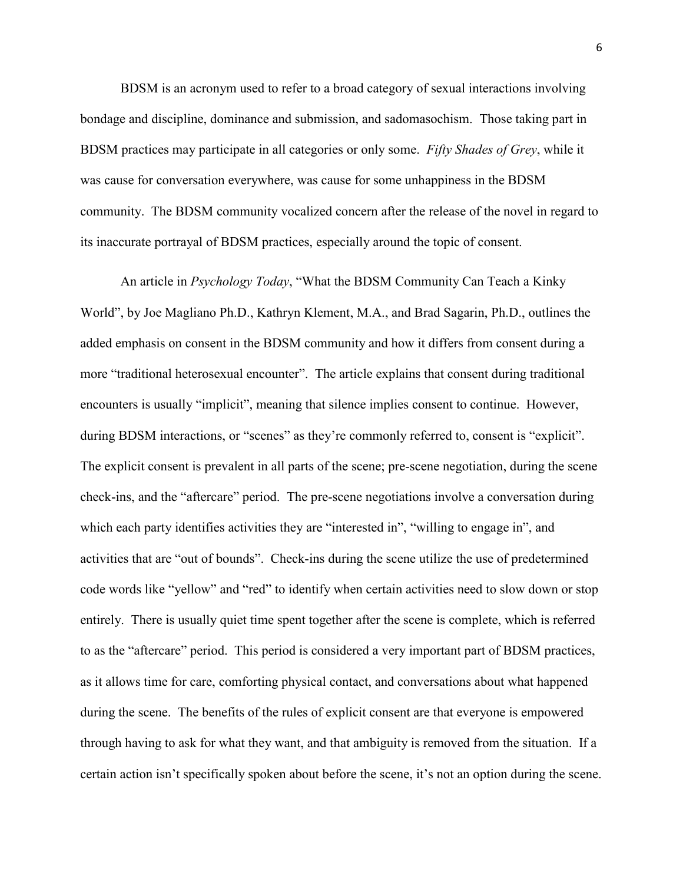BDSM is an acronym used to refer to a broad category of sexual interactions involving bondage and discipline, dominance and submission, and sadomasochism. Those taking part in BDSM practices may participate in all categories or only some. *Fifty Shades of Grey*, while it was cause for conversation everywhere, was cause for some unhappiness in the BDSM community. The BDSM community vocalized concern after the release of the novel in regard to its inaccurate portrayal of BDSM practices, especially around the topic of consent.

An article in *Psychology Today*, "What the BDSM Community Can Teach a Kinky World", by Joe Magliano Ph.D., Kathryn Klement, M.A., and [Brad Sagarin,](http://www.niu.edu/psyc/faculty/sagarin.shtml) Ph.D., outlines the added emphasis on consent in the BDSM community and how it differs from consent during a more "traditional heterosexual encounter". The article explains that consent during traditional encounters is usually "implicit", meaning that silence implies consent to continue. However, during BDSM interactions, or "scenes" as they're commonly referred to, consent is "explicit". The explicit consent is prevalent in all parts of the scene; pre-scene negotiation, during the scene check-ins, and the "aftercare" period. The pre-scene negotiations involve a conversation during which each party identifies activities they are "interested in", "willing to engage in", and activities that are "out of bounds". Check-ins during the scene utilize the use of predetermined code words like "yellow" and "red" to identify when certain activities need to slow down or stop entirely. There is usually quiet time spent together after the scene is complete, which is referred to as the "aftercare" period. This period is considered a very important part of BDSM practices, as it allows time for care, comforting physical contact, and conversations about what happened during the scene. The benefits of the rules of explicit consent are that everyone is empowered through having to ask for what they want, and that ambiguity is removed from the situation. If a certain action isn't specifically spoken about before the scene, it's not an option during the scene.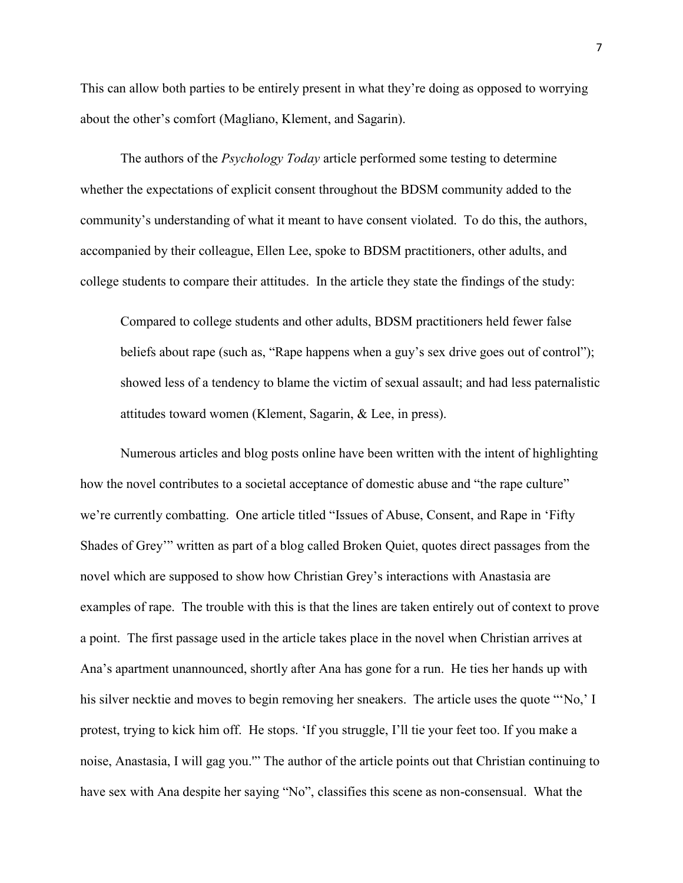This can allow both parties to be entirely present in what they're doing as opposed to worrying about the other's comfort (Magliano, Klement, and Sagarin).

The authors of the *Psychology Today* article performed some testing to determine whether the expectations of explicit consent throughout the BDSM community added to the community's understanding of what it meant to have consent violated. To do this, the authors, accompanied by their colleague, Ellen Lee, spoke to BDSM practitioners, other adults, and college students to compare their attitudes. In the article they state the findings of the study:

Compared to college students and other adults, BDSM practitioners held fewer false beliefs about rape (such as, "Rape happens when a guy's sex drive goes out of control"); showed less of a tendency to blame the victim of sexual assault; and had less paternalistic attitudes toward women (Klement, Sagarin, & Lee, in press).

Numerous articles and blog posts online have been written with the intent of highlighting how the novel contributes to a societal acceptance of domestic abuse and "the rape culture" we're currently combatting. One article titled "Issues of Abuse, Consent, and Rape in 'Fifty Shades of Grey'" written as part of a blog called Broken Quiet, quotes direct passages from the novel which are supposed to show how Christian Grey's interactions with Anastasia are examples of rape. The trouble with this is that the lines are taken entirely out of context to prove a point. The first passage used in the article takes place in the novel when Christian arrives at Ana's apartment unannounced, shortly after Ana has gone for a run. He ties her hands up with his silver necktie and moves to begin removing her sneakers. The article uses the quote "'No,' I protest, trying to kick him off. He stops. 'If you struggle, I'll tie your feet too. If you make a noise, Anastasia, I will gag you.'" The author of the article points out that Christian continuing to have sex with Ana despite her saying "No", classifies this scene as non-consensual. What the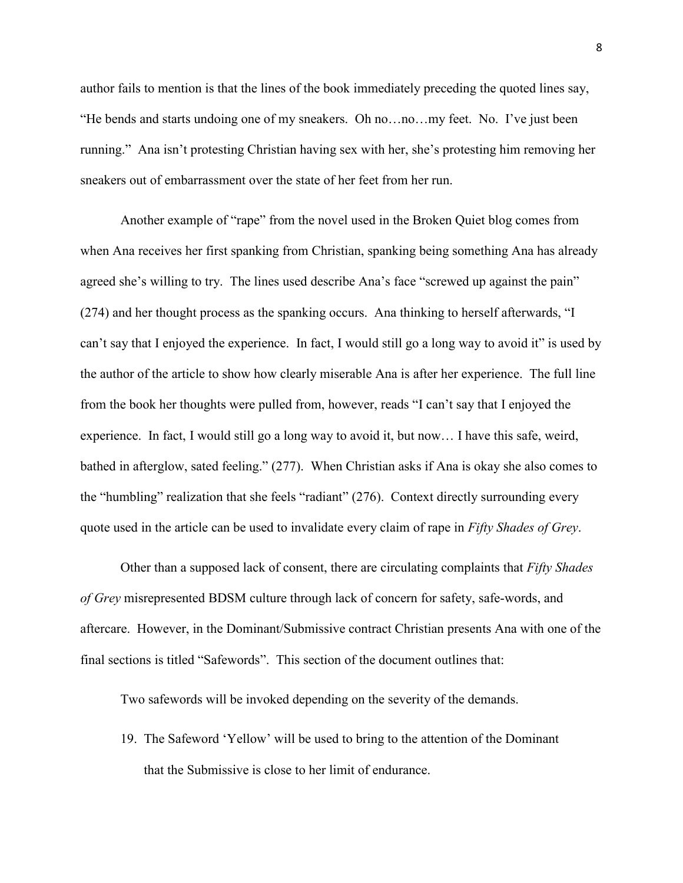author fails to mention is that the lines of the book immediately preceding the quoted lines say, "He bends and starts undoing one of my sneakers. Oh no…no…my feet. No. I've just been running." Ana isn't protesting Christian having sex with her, she's protesting him removing her sneakers out of embarrassment over the state of her feet from her run.

Another example of "rape" from the novel used in the Broken Quiet blog comes from when Ana receives her first spanking from Christian, spanking being something Ana has already agreed she's willing to try. The lines used describe Ana's face "screwed up against the pain" (274) and her thought process as the spanking occurs. Ana thinking to herself afterwards, "I can't say that I enjoyed the experience. In fact, I would still go a long way to avoid it" is used by the author of the article to show how clearly miserable Ana is after her experience. The full line from the book her thoughts were pulled from, however, reads "I can't say that I enjoyed the experience. In fact, I would still go a long way to avoid it, but now… I have this safe, weird, bathed in afterglow, sated feeling." (277). When Christian asks if Ana is okay she also comes to the "humbling" realization that she feels "radiant" (276). Context directly surrounding every quote used in the article can be used to invalidate every claim of rape in *Fifty Shades of Grey*.

Other than a supposed lack of consent, there are circulating complaints that *Fifty Shades of Grey* misrepresented BDSM culture through lack of concern for safety, safe-words, and aftercare. However, in the Dominant/Submissive contract Christian presents Ana with one of the final sections is titled "Safewords". This section of the document outlines that:

Two safewords will be invoked depending on the severity of the demands.

19. The Safeword 'Yellow' will be used to bring to the attention of the Dominant that the Submissive is close to her limit of endurance.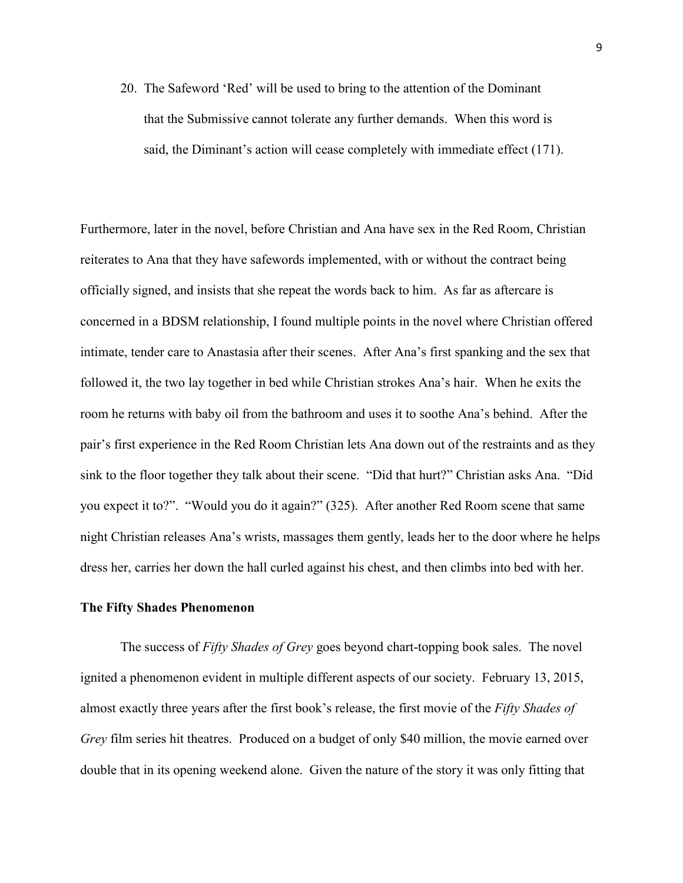20. The Safeword 'Red' will be used to bring to the attention of the Dominant that the Submissive cannot tolerate any further demands. When this word is said, the Diminant's action will cease completely with immediate effect (171).

Furthermore, later in the novel, before Christian and Ana have sex in the Red Room, Christian reiterates to Ana that they have safewords implemented, with or without the contract being officially signed, and insists that she repeat the words back to him. As far as aftercare is concerned in a BDSM relationship, I found multiple points in the novel where Christian offered intimate, tender care to Anastasia after their scenes. After Ana's first spanking and the sex that followed it, the two lay together in bed while Christian strokes Ana's hair. When he exits the room he returns with baby oil from the bathroom and uses it to soothe Ana's behind. After the pair's first experience in the Red Room Christian lets Ana down out of the restraints and as they sink to the floor together they talk about their scene. "Did that hurt?" Christian asks Ana. "Did you expect it to?". "Would you do it again?" (325). After another Red Room scene that same night Christian releases Ana's wrists, massages them gently, leads her to the door where he helps dress her, carries her down the hall curled against his chest, and then climbs into bed with her.

#### **The Fifty Shades Phenomenon**

The success of *Fifty Shades of Grey* goes beyond chart-topping book sales. The novel ignited a phenomenon evident in multiple different aspects of our society. February 13, 2015, almost exactly three years after the first book's release, the first movie of the *Fifty Shades of Grey* film series hit theatres. Produced on a budget of only \$40 million, the movie earned over double that in its opening weekend alone. Given the nature of the story it was only fitting that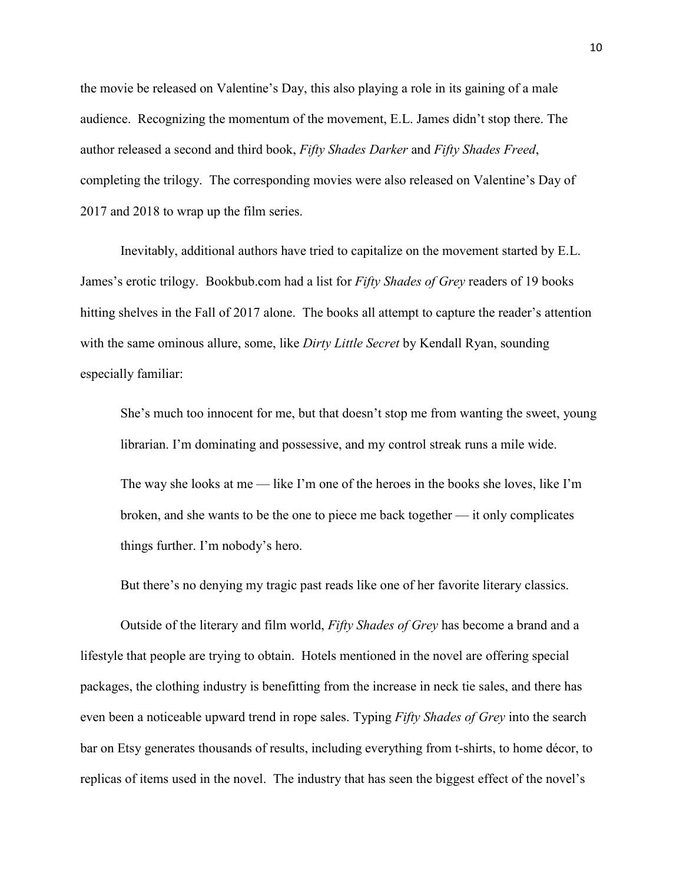the movie be released on Valentine's Day, this also playing a role in its gaining of a male audience. Recognizing the momentum of the movement, E.L. James didn't stop there. The author released a second and third book, *Fifty Shades Darker* and *Fifty Shades Freed*, completing the trilogy. The corresponding movies were also released on Valentine's Day of 2017 and 2018 to wrap up the film series.

Inevitably, additional authors have tried to capitalize on the movement started by E.L. James's erotic trilogy. Bookbub.com had a list for *Fifty Shades of Grey* readers of 19 books hitting shelves in the Fall of 2017 alone. The books all attempt to capture the reader's attention with the same ominous allure, some, like *Dirty Little Secret* by Kendall Ryan, sounding especially familiar:

She's much too innocent for me, but that doesn't stop me from wanting the sweet, young librarian. I'm dominating and possessive, and my control streak runs a mile wide.

The way she looks at me — like I'm one of the heroes in the books she loves, like I'm broken, and she wants to be the one to piece me back together — it only complicates things further. I'm nobody's hero.

But there's no denying my tragic past reads like one of her favorite literary classics.

Outside of the literary and film world, *Fifty Shades of Grey* has become a brand and a lifestyle that people are trying to obtain. Hotels mentioned in the novel are offering special packages, the clothing industry is benefitting from the increase in neck tie sales, and there has even been a noticeable upward trend in rope sales. Typing *Fifty Shades of Grey* into the search bar on Etsy generates thousands of results, including everything from t-shirts, to home décor, to replicas of items used in the novel. The industry that has seen the biggest effect of the novel's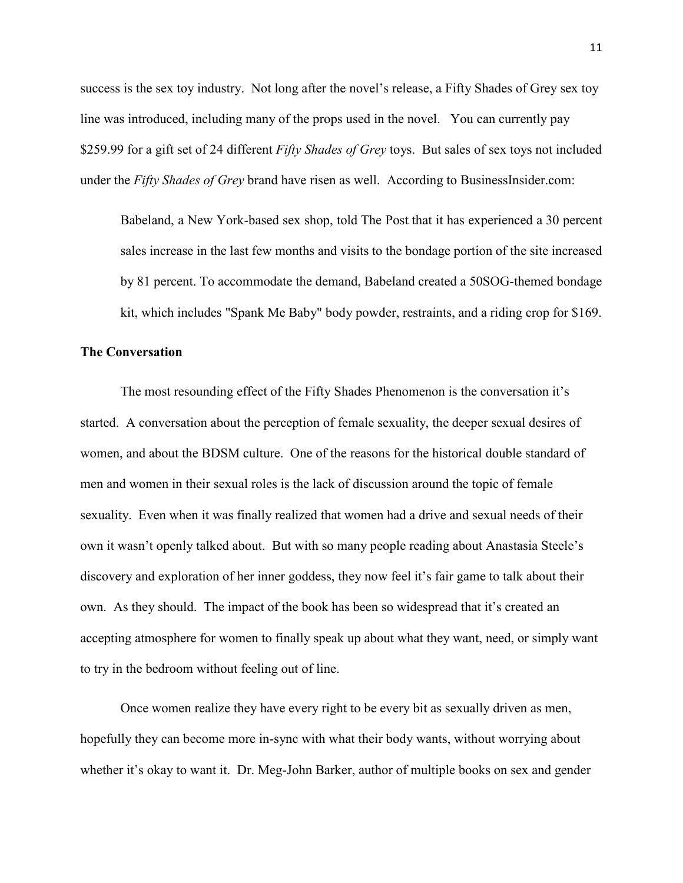success is the sex toy industry. Not long after the novel's release, a Fifty Shades of Grey sex toy line was introduced, including many of the props used in the novel. You can currently pay \$259.99 for a gift set of 24 different *Fifty Shades of Grey* toys. But sales of sex toys not included under the *Fifty Shades of Grey* brand have risen as well. According to BusinessInsider.com:

Babeland, a New York-based sex shop, told The Post that it has experienced a [30 percent](http://www.nypost.com/p/news/local/ny_gals_learning_the_ropes_at_fifty_sVWWKeksj9WKUto2ITg1KK/0)  [sales increase in the last few months and visits to the bondage portion of the site increased](http://www.nypost.com/p/news/local/ny_gals_learning_the_ropes_at_fifty_sVWWKeksj9WKUto2ITg1KK/0)  [by 81 percent.](http://www.nypost.com/p/news/local/ny_gals_learning_the_ropes_at_fifty_sVWWKeksj9WKUto2ITg1KK/0) To accommodate the demand, Babeland created a 50SOG-themed bondage kit, which includes "Spank Me Baby" body powder, restraints, and a riding crop for \$169.

### **The Conversation**

The most resounding effect of the Fifty Shades Phenomenon is the conversation it's started. A conversation about the perception of female sexuality, the deeper sexual desires of women, and about the BDSM culture. One of the reasons for the historical double standard of men and women in their sexual roles is the lack of discussion around the topic of female sexuality. Even when it was finally realized that women had a drive and sexual needs of their own it wasn't openly talked about. But with so many people reading about Anastasia Steele's discovery and exploration of her inner goddess, they now feel it's fair game to talk about their own. As they should. The impact of the book has been so widespread that it's created an accepting atmosphere for women to finally speak up about what they want, need, or simply want to try in the bedroom without feeling out of line.

Once women realize they have every right to be every bit as sexually driven as men, hopefully they can become more in-sync with what their body wants, without worrying about whether it's okay to want it. Dr. Meg-John Barker, author of multiple books on sex and gender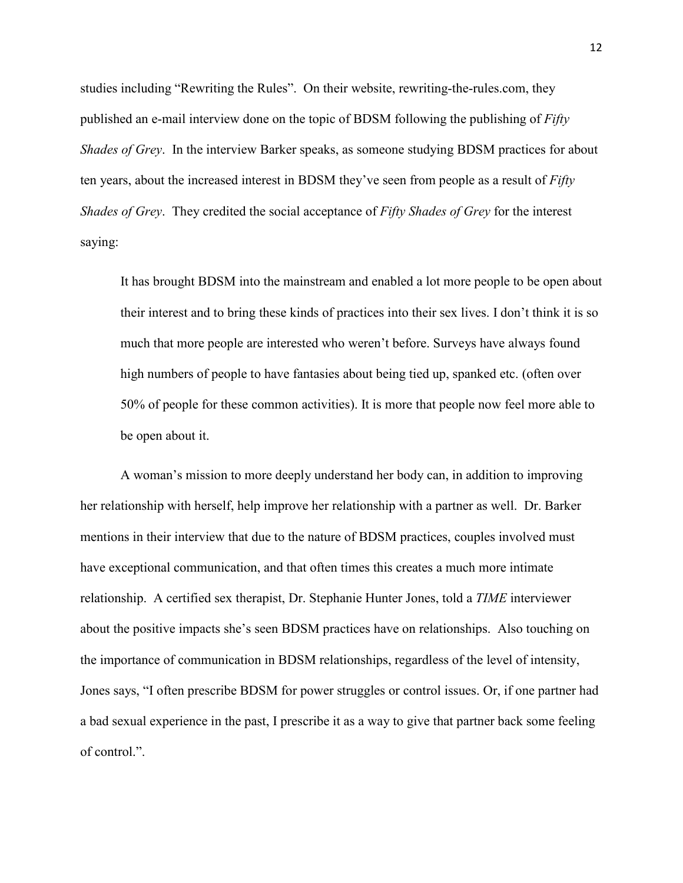studies including "Rewriting the Rules". On their website, rewriting-the-rules.com, they published an e-mail interview done on the topic of BDSM following the publishing of *Fifty Shades of Grey*. In the interview Barker speaks, as someone studying BDSM practices for about ten years, about the increased interest in BDSM they've seen from people as a result of *Fifty Shades of Grey*. They credited the social acceptance of *Fifty Shades of Grey* for the interest saying:

It has brought BDSM into the mainstream and enabled a lot more people to be open about their interest and to bring these kinds of practices into their sex lives. I don't think it is so much that more people are interested who weren't before. Surveys have always found high numbers of people to have fantasies about being tied up, spanked etc. (often over 50% of people for these common activities). It is more that people now feel more able to be open about it.

A woman's mission to more deeply understand her body can, in addition to improving her relationship with herself, help improve her relationship with a partner as well. Dr. Barker mentions in their interview that due to the nature of BDSM practices, couples involved must have exceptional communication, and that often times this creates a much more intimate relationship. A certified sex therapist, Dr. Stephanie Hunter Jones, told a *TIME* interviewer about the positive impacts she's seen BDSM practices have on relationships. Also touching on the importance of communication in BDSM relationships, regardless of the level of intensity, Jones says, "I often prescribe BDSM for power struggles or control issues. Or, if one partner had a bad sexual experience in the past, I prescribe it as a way to give that partner back some feeling of control.".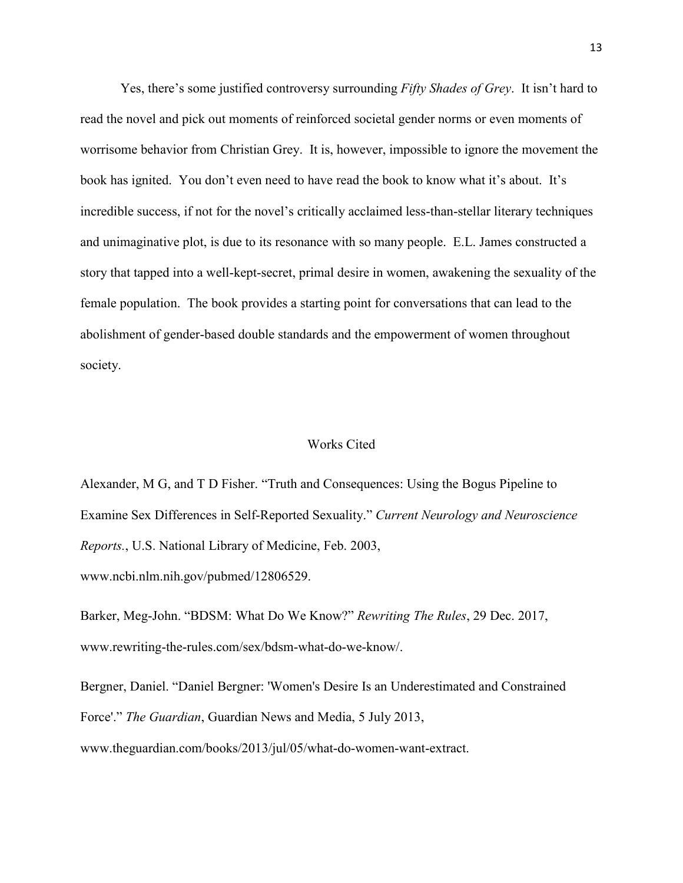Yes, there's some justified controversy surrounding *Fifty Shades of Grey*. It isn't hard to read the novel and pick out moments of reinforced societal gender norms or even moments of worrisome behavior from Christian Grey. It is, however, impossible to ignore the movement the book has ignited. You don't even need to have read the book to know what it's about. It's incredible success, if not for the novel's critically acclaimed less-than-stellar literary techniques and unimaginative plot, is due to its resonance with so many people. E.L. James constructed a story that tapped into a well-kept-secret, primal desire in women, awakening the sexuality of the female population. The book provides a starting point for conversations that can lead to the abolishment of gender-based double standards and the empowerment of women throughout society.

#### Works Cited

Alexander, M G, and T D Fisher. "Truth and Consequences: Using the Bogus Pipeline to Examine Sex Differences in Self-Reported Sexuality." *Current Neurology and Neuroscience Reports.*, U.S. National Library of Medicine, Feb. 2003, www.ncbi.nlm.nih.gov/pubmed/12806529.

Barker, Meg-John. "BDSM: What Do We Know?" *Rewriting The Rules*, 29 Dec. 2017, www.rewriting-the-rules.com/sex/bdsm-what-do-we-know/.

Bergner, Daniel. "Daniel Bergner: 'Women's Desire Is an Underestimated and Constrained Force'." *The Guardian*, Guardian News and Media, 5 July 2013,

www.theguardian.com/books/2013/jul/05/what-do-women-want-extract.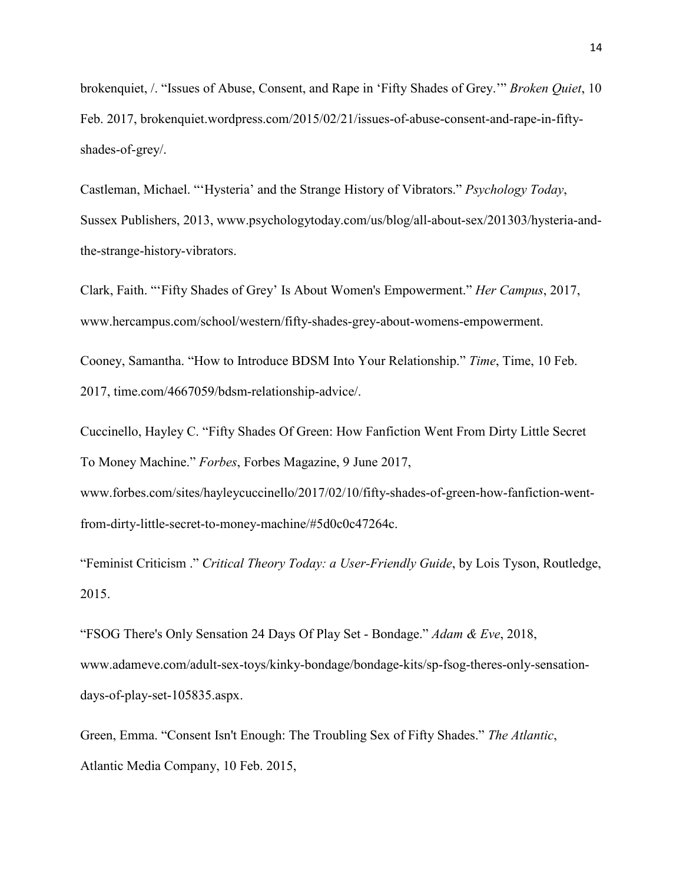brokenquiet, /. "Issues of Abuse, Consent, and Rape in 'Fifty Shades of Grey.'" *Broken Quiet*, 10 Feb. 2017, brokenquiet.wordpress.com/2015/02/21/issues-of-abuse-consent-and-rape-in-fiftyshades-of-grey/.

Castleman, Michael. "'Hysteria' and the Strange History of Vibrators." *Psychology Today*, Sussex Publishers, 2013, www.psychologytoday.com/us/blog/all-about-sex/201303/hysteria-andthe-strange-history-vibrators.

Clark, Faith. "'Fifty Shades of Grey' Is About Women's Empowerment." *Her Campus*, 2017, www.hercampus.com/school/western/fifty-shades-grey-about-womens-empowerment.

Cooney, Samantha. "How to Introduce BDSM Into Your Relationship." *Time*, Time, 10 Feb. 2017, time.com/4667059/bdsm-relationship-advice/.

Cuccinello, Hayley C. "Fifty Shades Of Green: How Fanfiction Went From Dirty Little Secret To Money Machine." *Forbes*, Forbes Magazine, 9 June 2017,

www.forbes.com/sites/hayleycuccinello/2017/02/10/fifty-shades-of-green-how-fanfiction-wentfrom-dirty-little-secret-to-money-machine/#5d0c0c47264c.

"Feminist Criticism ." *Critical Theory Today: a User-Friendly Guide*, by Lois Tyson, Routledge, 2015.

"FSOG There's Only Sensation 24 Days Of Play Set - Bondage." *Adam & Eve*, 2018, www.adameve.com/adult-sex-toys/kinky-bondage/bondage-kits/sp-fsog-theres-only-sensationdays-of-play-set-105835.aspx.

Green, Emma. "Consent Isn't Enough: The Troubling Sex of Fifty Shades." *The Atlantic*, Atlantic Media Company, 10 Feb. 2015,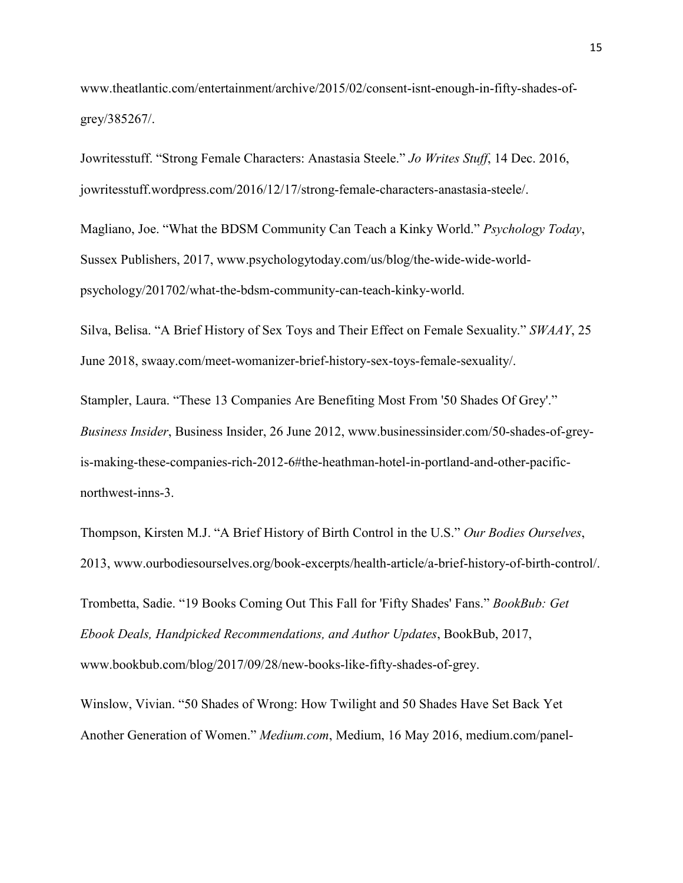www.theatlantic.com/entertainment/archive/2015/02/consent-isnt-enough-in-fifty-shades-ofgrey/385267/.

Jowritesstuff. "Strong Female Characters: Anastasia Steele." *Jo Writes Stuff*, 14 Dec. 2016, jowritesstuff.wordpress.com/2016/12/17/strong-female-characters-anastasia-steele/.

Magliano, Joe. "What the BDSM Community Can Teach a Kinky World." *Psychology Today*, Sussex Publishers, 2017, www.psychologytoday.com/us/blog/the-wide-wide-worldpsychology/201702/what-the-bdsm-community-can-teach-kinky-world.

Silva, Belisa. "A Brief History of Sex Toys and Their Effect on Female Sexuality." *SWAAY*, 25 June 2018, swaay.com/meet-womanizer-brief-history-sex-toys-female-sexuality/.

Stampler, Laura. "These 13 Companies Are Benefiting Most From '50 Shades Of Grey'." *Business Insider*, Business Insider, 26 June 2012, www.businessinsider.com/50-shades-of-greyis-making-these-companies-rich-2012-6#the-heathman-hotel-in-portland-and-other-pacificnorthwest-inns-3.

Thompson, Kirsten M.J. "A Brief History of Birth Control in the U.S." *Our Bodies Ourselves*, 2013, www.ourbodiesourselves.org/book-excerpts/health-article/a-brief-history-of-birth-control/.

Trombetta, Sadie. "19 Books Coming Out This Fall for 'Fifty Shades' Fans." *BookBub: Get Ebook Deals, Handpicked Recommendations, and Author Updates*, BookBub, 2017, www.bookbub.com/blog/2017/09/28/new-books-like-fifty-shades-of-grey.

Winslow, Vivian. "50 Shades of Wrong: How Twilight and 50 Shades Have Set Back Yet Another Generation of Women." *Medium.com*, Medium, 16 May 2016, medium.com/panel